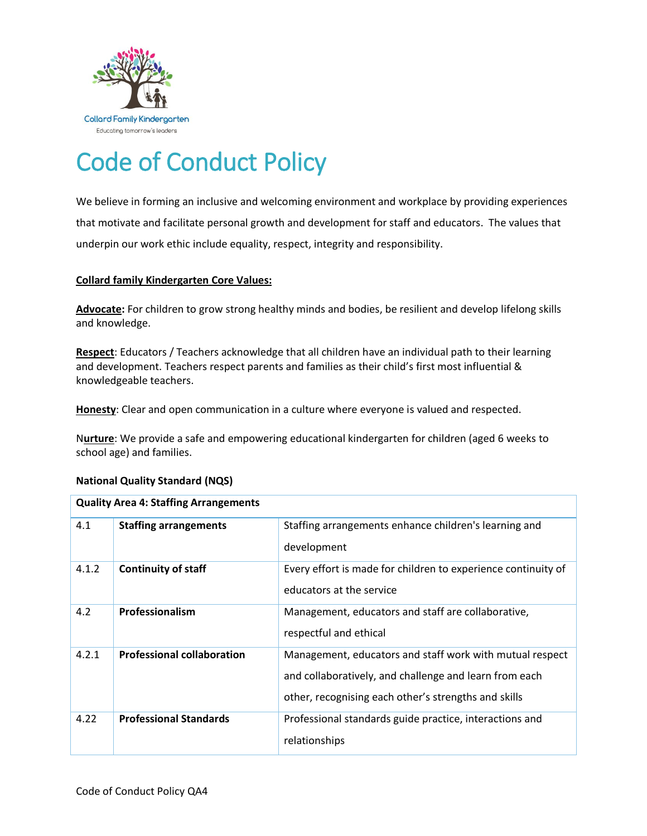

# Code of Conduct Policy

We believe in forming an inclusive and welcoming environment and workplace by providing experiences that motivate and facilitate personal growth and development for staff and educators. The values that underpin our work ethic include equality, respect, integrity and responsibility.

# **Collard family Kindergarten Core Values:**

**Advocate:** For children to grow strong healthy minds and bodies, be resilient and develop lifelong skills and knowledge.

**Respect**: Educators / Teachers acknowledge that all children have an individual path to their learning and development. Teachers respect parents and families as their child's first most influential & knowledgeable teachers.

**Honesty**: Clear and open communication in a culture where everyone is valued and respected.

N**urture**: We provide a safe and empowering educational kindergarten for children (aged 6 weeks to school age) and families.

| <b>Quality Area 4: Staffing Arrangements</b> |                                   |                                                                                                                                                                            |  |  |  |
|----------------------------------------------|-----------------------------------|----------------------------------------------------------------------------------------------------------------------------------------------------------------------------|--|--|--|
| 4.1                                          | <b>Staffing arrangements</b>      | Staffing arrangements enhance children's learning and<br>development                                                                                                       |  |  |  |
| 4.1.2                                        | <b>Continuity of staff</b>        | Every effort is made for children to experience continuity of<br>educators at the service                                                                                  |  |  |  |
| 4.2                                          | Professionalism                   | Management, educators and staff are collaborative,<br>respectful and ethical                                                                                               |  |  |  |
| 4.2.1                                        | <b>Professional collaboration</b> | Management, educators and staff work with mutual respect<br>and collaboratively, and challenge and learn from each<br>other, recognising each other's strengths and skills |  |  |  |
| 4.22                                         | <b>Professional Standards</b>     | Professional standards guide practice, interactions and<br>relationships                                                                                                   |  |  |  |

# **National Quality Standard (NQS)**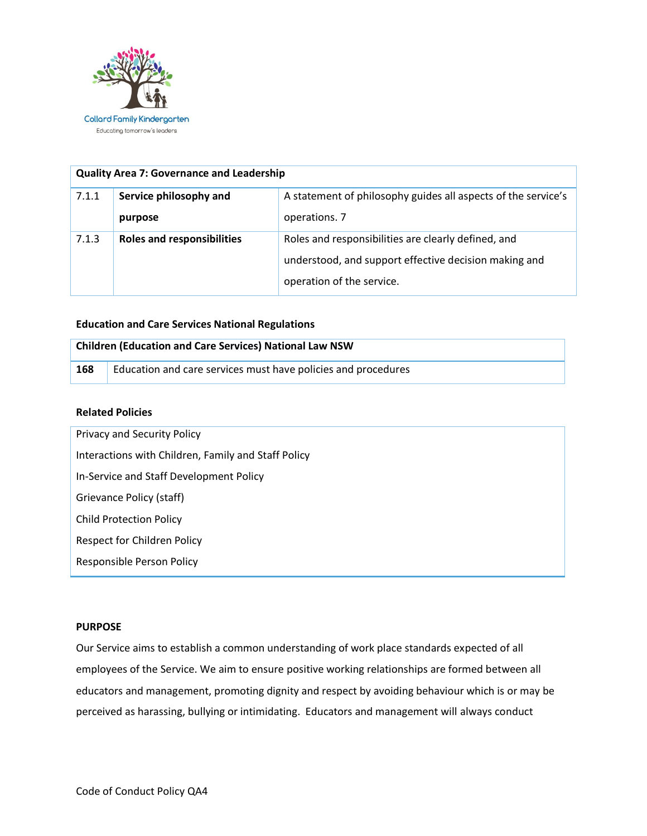

| <b>Quality Area 7: Governance and Leadership</b> |                                   |                                                               |  |  |  |
|--------------------------------------------------|-----------------------------------|---------------------------------------------------------------|--|--|--|
| 7.1.1                                            | Service philosophy and            | A statement of philosophy guides all aspects of the service's |  |  |  |
|                                                  | purpose                           | operations. 7                                                 |  |  |  |
| 7.1.3                                            | <b>Roles and responsibilities</b> | Roles and responsibilities are clearly defined, and           |  |  |  |
|                                                  |                                   | understood, and support effective decision making and         |  |  |  |
|                                                  |                                   | operation of the service.                                     |  |  |  |

## **Education and Care Services National Regulations**

| <b>Children (Education and Care Services) National Law NSW</b> |                                                               |  |
|----------------------------------------------------------------|---------------------------------------------------------------|--|
| 168                                                            | Education and care services must have policies and procedures |  |

# **Related Policies**

| Privacy and Security Policy                         |  |  |
|-----------------------------------------------------|--|--|
| Interactions with Children, Family and Staff Policy |  |  |
| In-Service and Staff Development Policy             |  |  |
| Grievance Policy (staff)                            |  |  |
| <b>Child Protection Policy</b>                      |  |  |
| Respect for Children Policy                         |  |  |
| Responsible Person Policy                           |  |  |

## **PURPOSE**

Our Service aims to establish a common understanding of work place standards expected of all employees of the Service. We aim to ensure positive working relationships are formed between all educators and management, promoting dignity and respect by avoiding behaviour which is or may be perceived as harassing, bullying or intimidating. Educators and management will always conduct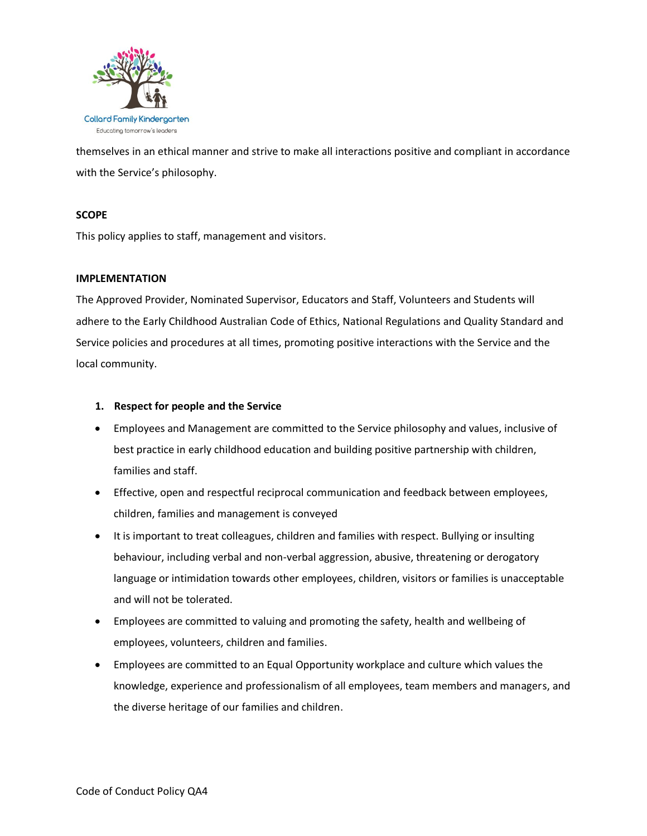

themselves in an ethical manner and strive to make all interactions positive and compliant in accordance with the Service's philosophy.

# **SCOPE**

This policy applies to staff, management and visitors.

# **IMPLEMENTATION**

The Approved Provider, Nominated Supervisor, Educators and Staff, Volunteers and Students will adhere to the Early Childhood Australian Code of Ethics, National Regulations and Quality Standard and Service policies and procedures at all times, promoting positive interactions with the Service and the local community.

# **1. Respect for people and the Service**

- Employees and Management are committed to the Service philosophy and values, inclusive of best practice in early childhood education and building positive partnership with children, families and staff.
- Effective, open and respectful reciprocal communication and feedback between employees, children, families and management is conveyed
- It is important to treat colleagues, children and families with respect. Bullying or insulting behaviour, including verbal and non-verbal aggression, abusive, threatening or derogatory language or intimidation towards other employees, children, visitors or families is unacceptable and will not be tolerated.
- Employees are committed to valuing and promoting the safety, health and wellbeing of employees, volunteers, children and families.
- Employees are committed to an Equal Opportunity workplace and culture which values the knowledge, experience and professionalism of all employees, team members and managers, and the diverse heritage of our families and children.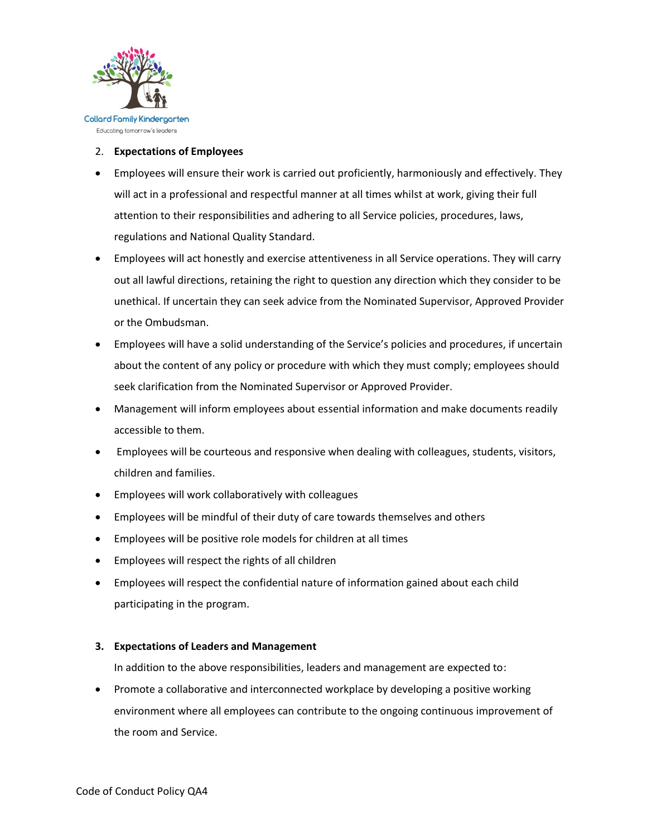

Educating tomorrow's leaders

## 2. **Expectations of Employees**

- Employees will ensure their work is carried out proficiently, harmoniously and effectively. They will act in a professional and respectful manner at all times whilst at work, giving their full attention to their responsibilities and adhering to all Service policies, procedures, laws, regulations and National Quality Standard.
- Employees will act honestly and exercise attentiveness in all Service operations. They will carry out all lawful directions, retaining the right to question any direction which they consider to be unethical. If uncertain they can seek advice from the Nominated Supervisor, Approved Provider or the Ombudsman.
- Employees will have a solid understanding of the Service's policies and procedures, if uncertain about the content of any policy or procedure with which they must comply; employees should seek clarification from the Nominated Supervisor or Approved Provider.
- Management will inform employees about essential information and make documents readily accessible to them.
- Employees will be courteous and responsive when dealing with colleagues, students, visitors, children and families.
- Employees will work collaboratively with colleagues
- Employees will be mindful of their duty of care towards themselves and others
- Employees will be positive role models for children at all times
- Employees will respect the rights of all children
- Employees will respect the confidential nature of information gained about each child participating in the program.

# **3. Expectations of Leaders and Management**

In addition to the above responsibilities, leaders and management are expected to:

 Promote a collaborative and interconnected workplace by developing a positive working environment where all employees can contribute to the ongoing continuous improvement of the room and Service.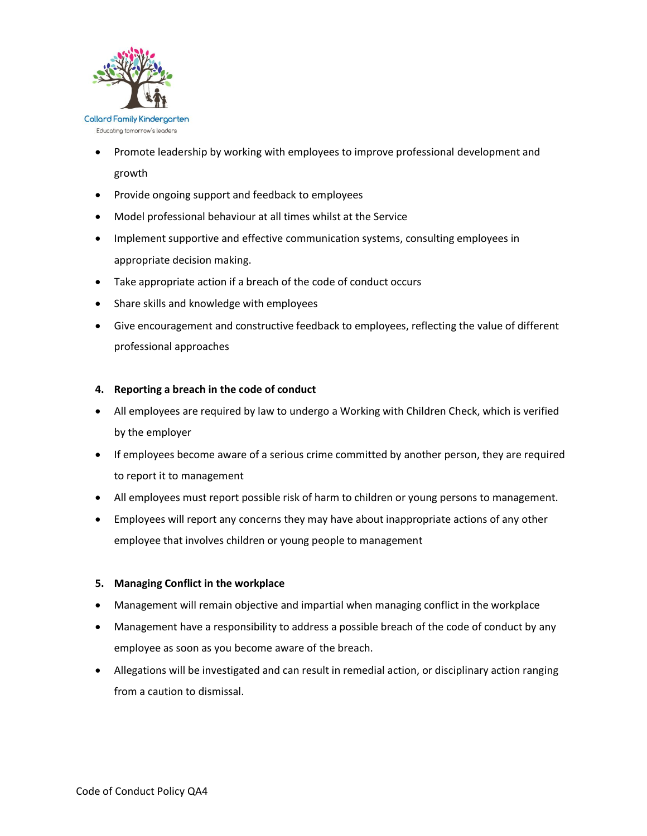

- Promote leadership by working with employees to improve professional development and growth
- Provide ongoing support and feedback to employees
- Model professional behaviour at all times whilst at the Service
- Implement supportive and effective communication systems, consulting employees in appropriate decision making.
- Take appropriate action if a breach of the code of conduct occurs
- Share skills and knowledge with employees
- Give encouragement and constructive feedback to employees, reflecting the value of different professional approaches

# **4. Reporting a breach in the code of conduct**

- All employees are required by law to undergo a Working with Children Check, which is verified by the employer
- If employees become aware of a serious crime committed by another person, they are required to report it to management
- All employees must report possible risk of harm to children or young persons to management.
- Employees will report any concerns they may have about inappropriate actions of any other employee that involves children or young people to management

# **5. Managing Conflict in the workplace**

- Management will remain objective and impartial when managing conflict in the workplace
- Management have a responsibility to address a possible breach of the code of conduct by any employee as soon as you become aware of the breach.
- Allegations will be investigated and can result in remedial action, or disciplinary action ranging from a caution to dismissal.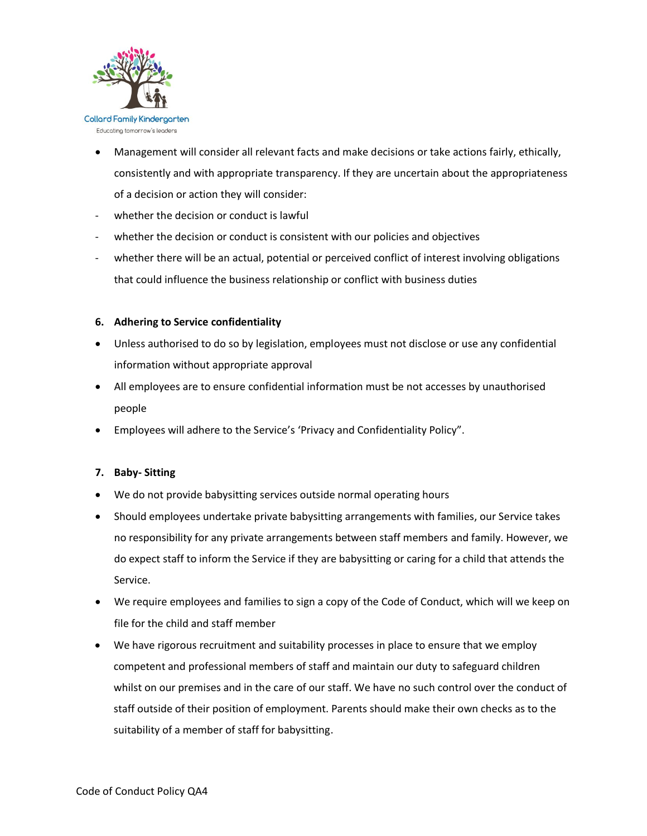

- Management will consider all relevant facts and make decisions or take actions fairly, ethically, consistently and with appropriate transparency. If they are uncertain about the appropriateness of a decision or action they will consider:
- whether the decision or conduct is lawful
- whether the decision or conduct is consistent with our policies and objectives
- whether there will be an actual, potential or perceived conflict of interest involving obligations that could influence the business relationship or conflict with business duties

# **6. Adhering to Service confidentiality**

- Unless authorised to do so by legislation, employees must not disclose or use any confidential information without appropriate approval
- All employees are to ensure confidential information must be not accesses by unauthorised people
- Employees will adhere to the Service's 'Privacy and Confidentiality Policy".

# **7. Baby- Sitting**

- We do not provide babysitting services outside normal operating hours
- Should employees undertake private babysitting arrangements with families, our Service takes no responsibility for any private arrangements between staff members and family. However, we do expect staff to inform the Service if they are babysitting or caring for a child that attends the Service.
- We require employees and families to sign a copy of the Code of Conduct, which will we keep on file for the child and staff member
- We have rigorous recruitment and suitability processes in place to ensure that we employ competent and professional members of staff and maintain our duty to safeguard children whilst on our premises and in the care of our staff. We have no such control over the conduct of staff outside of their position of employment. Parents should make their own checks as to the suitability of a member of staff for babysitting.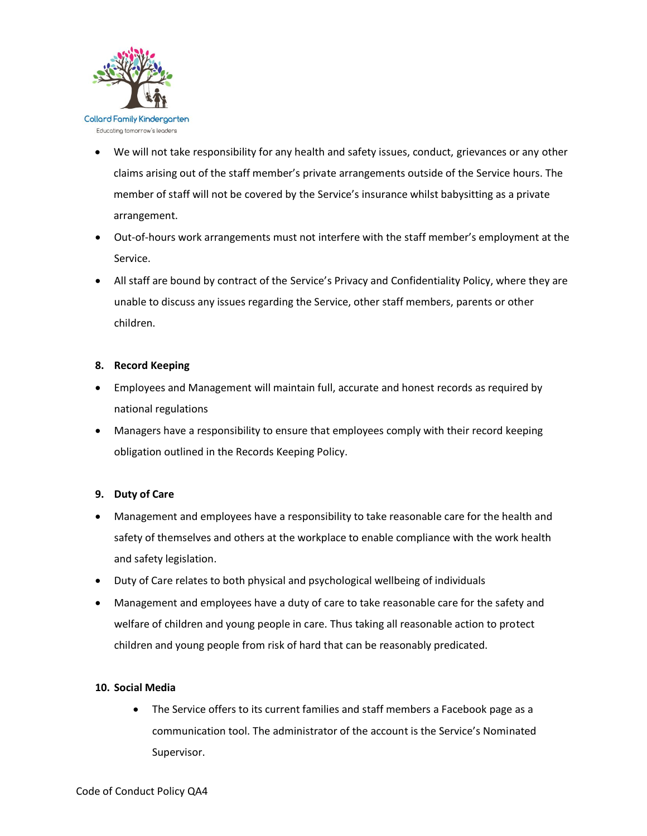

- We will not take responsibility for any health and safety issues, conduct, grievances or any other claims arising out of the staff member's private arrangements outside of the Service hours. The member of staff will not be covered by the Service's insurance whilst babysitting as a private arrangement.
- Out-of-hours work arrangements must not interfere with the staff member's employment at the Service.
- All staff are bound by contract of the Service's Privacy and Confidentiality Policy, where they are unable to discuss any issues regarding the Service, other staff members, parents or other children.

# **8. Record Keeping**

- Employees and Management will maintain full, accurate and honest records as required by national regulations
- Managers have a responsibility to ensure that employees comply with their record keeping obligation outlined in the Records Keeping Policy.

# **9. Duty of Care**

- Management and employees have a responsibility to take reasonable care for the health and safety of themselves and others at the workplace to enable compliance with the work health and safety legislation.
- Duty of Care relates to both physical and psychological wellbeing of individuals
- Management and employees have a duty of care to take reasonable care for the safety and welfare of children and young people in care. Thus taking all reasonable action to protect children and young people from risk of hard that can be reasonably predicated.

# **10. Social Media**

• The Service offers to its current families and staff members a Facebook page as a communication tool. The administrator of the account is the Service's Nominated Supervisor.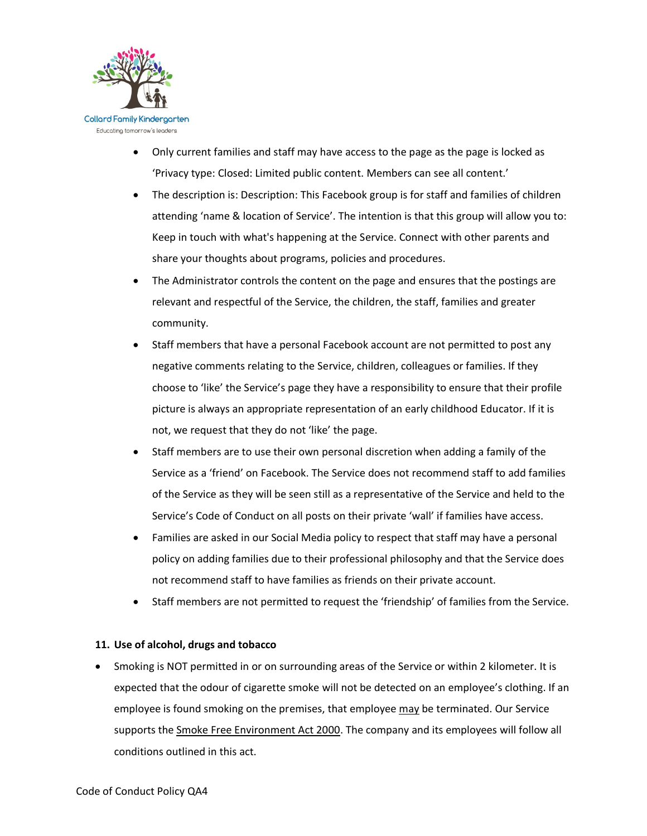

- Only current families and staff may have access to the page as the page is locked as 'Privacy type: Closed: Limited public content. Members can see all content.'
- The description is: Description: This Facebook group is for staff and families of children attending 'name & location of Service'. The intention is that this group will allow you to: Keep in touch with what's happening at the Service. Connect with other parents and share your thoughts about programs, policies and procedures.
- The Administrator controls the content on the page and ensures that the postings are relevant and respectful of the Service, the children, the staff, families and greater community.
- Staff members that have a personal Facebook account are not permitted to post any negative comments relating to the Service, children, colleagues or families. If they choose to 'like' the Service's page they have a responsibility to ensure that their profile picture is always an appropriate representation of an early childhood Educator. If it is not, we request that they do not 'like' the page.
- Staff members are to use their own personal discretion when adding a family of the Service as a 'friend' on Facebook. The Service does not recommend staff to add families of the Service as they will be seen still as a representative of the Service and held to the Service's Code of Conduct on all posts on their private 'wall' if families have access.
- Families are asked in our Social Media policy to respect that staff may have a personal policy on adding families due to their professional philosophy and that the Service does not recommend staff to have families as friends on their private account.
- Staff members are not permitted to request the 'friendship' of families from the Service.

# **11. Use of alcohol, drugs and tobacco**

 Smoking is NOT permitted in or on surrounding areas of the Service or within 2 kilometer. It is expected that the odour of cigarette smoke will not be detected on an employee's clothing. If an employee is found smoking on the premises, that employee may be terminated. Our Service supports the [Smoke Free Environment Act 2000.](http://www.health.nsw.gov.au/tobacco/Pages/smokefree-legislation.aspx) The company and its employees will follow all conditions outlined in this act.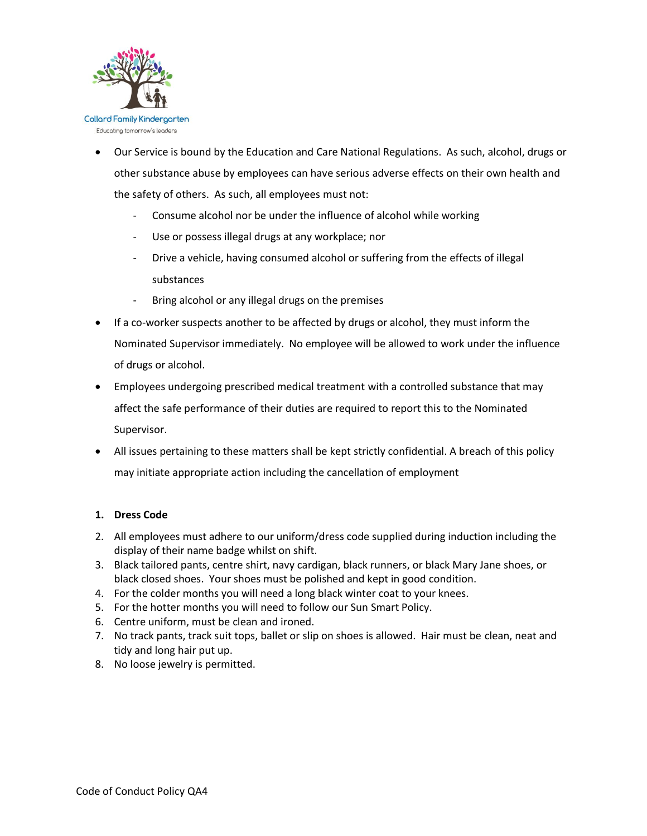

- Our Service is bound by the Education and Care National Regulations. As such, alcohol, drugs or other substance abuse by employees can have serious adverse effects on their own health and the safety of others. As such, all employees must not:
	- Consume alcohol nor be under the influence of alcohol while working
	- Use or possess illegal drugs at any workplace; nor
	- Drive a vehicle, having consumed alcohol or suffering from the effects of illegal substances
	- Bring alcohol or any illegal drugs on the premises
- If a co-worker suspects another to be affected by drugs or alcohol, they must inform the Nominated Supervisor immediately. No employee will be allowed to work under the influence of drugs or alcohol.
- Employees undergoing prescribed medical treatment with a controlled substance that may affect the safe performance of their duties are required to report this to the Nominated Supervisor.
- All issues pertaining to these matters shall be kept strictly confidential. A breach of this policy may initiate appropriate action including the cancellation of employment

# **1. Dress Code**

- 2. All employees must adhere to our uniform/dress code supplied during induction including the display of their name badge whilst on shift.
- 3. Black tailored pants, centre shirt, navy cardigan, black runners, or black Mary Jane shoes, or black closed shoes. Your shoes must be polished and kept in good condition.
- 4. For the colder months you will need a long black winter coat to your knees.
- 5. For the hotter months you will need to follow our Sun Smart Policy.
- 6. Centre uniform, must be clean and ironed.
- 7. No track pants, track suit tops, ballet or slip on shoes is allowed. Hair must be clean, neat and tidy and long hair put up.
- 8. No loose jewelry is permitted.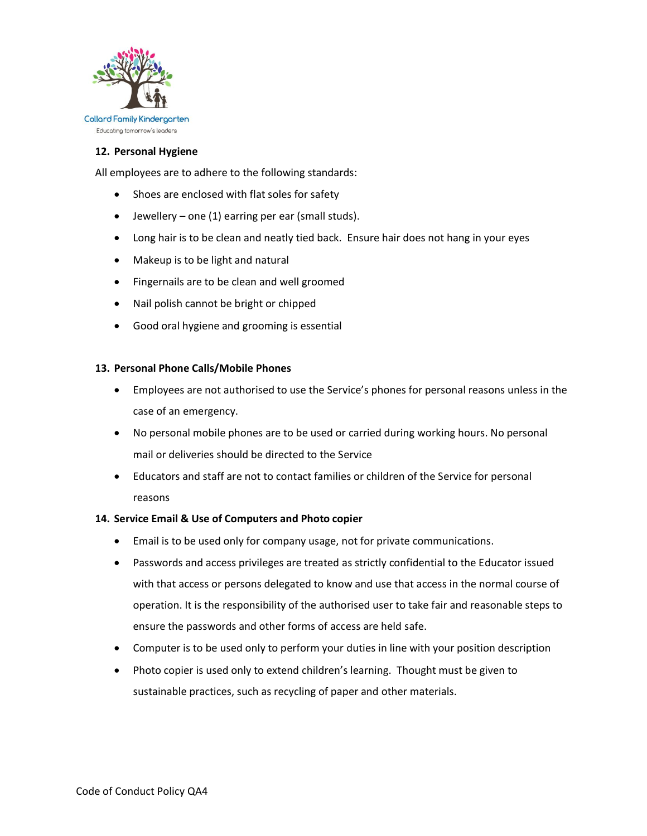

## **12. Personal Hygiene**

All employees are to adhere to the following standards:

- Shoes are enclosed with flat soles for safety
- $\bullet$  Jewellery one (1) earring per ear (small studs).
- Long hair is to be clean and neatly tied back. Ensure hair does not hang in your eyes
- Makeup is to be light and natural
- Fingernails are to be clean and well groomed
- Nail polish cannot be bright or chipped
- Good oral hygiene and grooming is essential

### **13. Personal Phone Calls/Mobile Phones**

- Employees are not authorised to use the Service's phones for personal reasons unless in the case of an emergency.
- No personal mobile phones are to be used or carried during working hours. No personal mail or deliveries should be directed to the Service
- Educators and staff are not to contact families or children of the Service for personal reasons

### **14. Service Email & Use of Computers and Photo copier**

- Email is to be used only for company usage, not for private communications.
- Passwords and access privileges are treated as strictly confidential to the Educator issued with that access or persons delegated to know and use that access in the normal course of operation. It is the responsibility of the authorised user to take fair and reasonable steps to ensure the passwords and other forms of access are held safe.
- Computer is to be used only to perform your duties in line with your position description
- Photo copier is used only to extend children's learning. Thought must be given to sustainable practices, such as recycling of paper and other materials.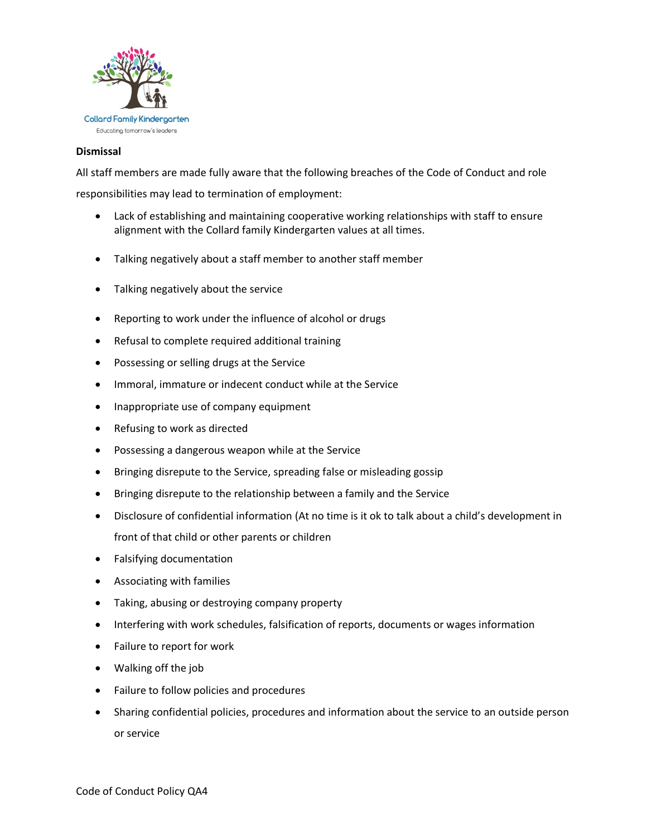

## **Dismissal**

All staff members are made fully aware that the following breaches of the Code of Conduct and role

responsibilities may lead to termination of employment:

- Lack of establishing and maintaining cooperative working relationships with staff to ensure alignment with the Collard family Kindergarten values at all times.
- Talking negatively about a staff member to another staff member
- Talking negatively about the service
- Reporting to work under the influence of alcohol or drugs
- Refusal to complete required additional training
- Possessing or selling drugs at the Service
- Immoral, immature or indecent conduct while at the Service
- Inappropriate use of company equipment
- Refusing to work as directed
- Possessing a dangerous weapon while at the Service
- Bringing disrepute to the Service, spreading false or misleading gossip
- Bringing disrepute to the relationship between a family and the Service
- Disclosure of confidential information (At no time is it ok to talk about a child's development in front of that child or other parents or children
- Falsifying documentation
- Associating with families
- Taking, abusing or destroying company property
- Interfering with work schedules, falsification of reports, documents or wages information
- Failure to report for work
- Walking off the job
- Failure to follow policies and procedures
- Sharing confidential policies, procedures and information about the service to an outside person or service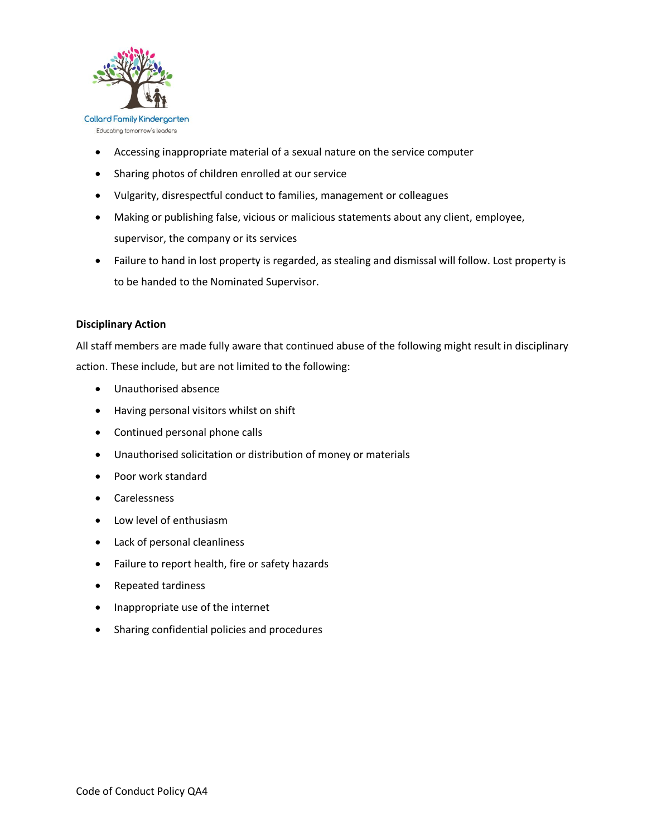

- Accessing inappropriate material of a sexual nature on the service computer
- Sharing photos of children enrolled at our service
- Vulgarity, disrespectful conduct to families, management or colleagues
- Making or publishing false, vicious or malicious statements about any client, employee, supervisor, the company or its services
- Failure to hand in lost property is regarded, as stealing and dismissal will follow. Lost property is to be handed to the Nominated Supervisor.

# **Disciplinary Action**

All staff members are made fully aware that continued abuse of the following might result in disciplinary action. These include, but are not limited to the following:

- Unauthorised absence
- Having personal visitors whilst on shift
- Continued personal phone calls
- Unauthorised solicitation or distribution of money or materials
- Poor work standard
- Carelessness
- Low level of enthusiasm
- Lack of personal cleanliness
- Failure to report health, fire or safety hazards
- Repeated tardiness
- Inappropriate use of the internet
- Sharing confidential policies and procedures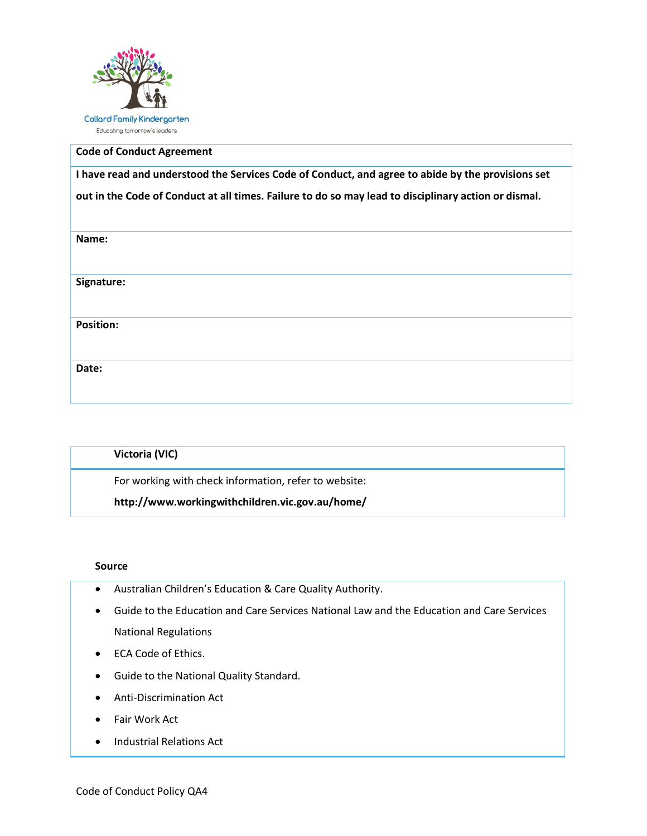

# **Code of Conduct Agreement**

**I have read and understood the Services Code of Conduct, and agree to abide by the provisions set out in the Code of Conduct at all times. Failure to do so may lead to disciplinary action or dismal.** 

| Name:            |
|------------------|
|                  |
| Signature:       |
| <b>Position:</b> |
| Date:            |

| Victoria (VIC)                                        |  |
|-------------------------------------------------------|--|
| For working with check information, refer to website: |  |
| http://www.workingwithchildren.vic.gov.au/home/       |  |

### **Source**

- Australian Children's Education & Care Quality Authority.
- Guide to the Education and Care Services National Law and the Education and Care Services National Regulations
- ECA Code of Ethics.
- Guide to the National Quality Standard.
- Anti-Discrimination Act
- Fair Work Act
- Industrial Relations Act